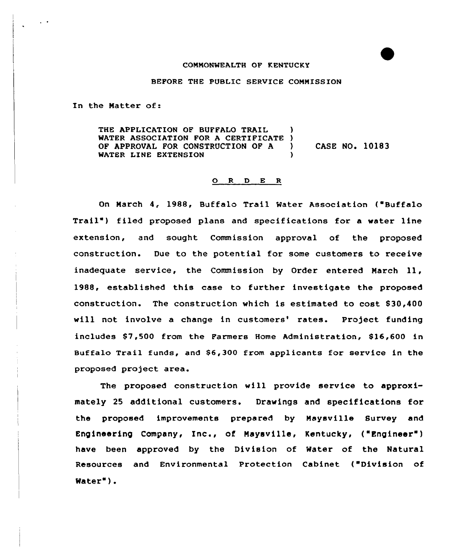### COMMONWEALTH OF KENTUCKY

### BEFORE THE PUBLIC SERVICE COMMISSION

In the Matter of:

THE APPLICATION OF BUFFALO TRAIL WATER ASSOCIATION FOR A CERTIFICATE ) OF APPROVAL FOR CONSTRUCTION OF A ) CASE NO. 10183 WATER LINE EXTENSION (1)

## O R D E R

On March 4, 1988, Buffalo Trail Water Association ("Buffalo Trail') filed proposed plans and specifications for a water line extension, and sought Commission appxoval of the proposed construction. Due to the potential for some customers to receive inadequate service, the Commission by Order entered March 11, 1988, established this ease to further investigate the proposed constx'uction. The construction which is estimated to cost S30,400 will not involve a change in customers' rates. Project funding includes \$7,500 from the Farmers Home Administration, \$16,600 in Buffalo Trail funds, and \$6,300 from applicants for service in the proposed project area.

The proposed construction will provide service to approximately 25 additional customers. Drawings and specifications for the proposed improvements prepared by Maysville Survey and Engineering Company, Inc., of Maysviile, Kentucky, ("Engineer" ) have been approved by the Division of Water of the Natural Resources and Environmental Protection Cabinet ("Division of Water" ).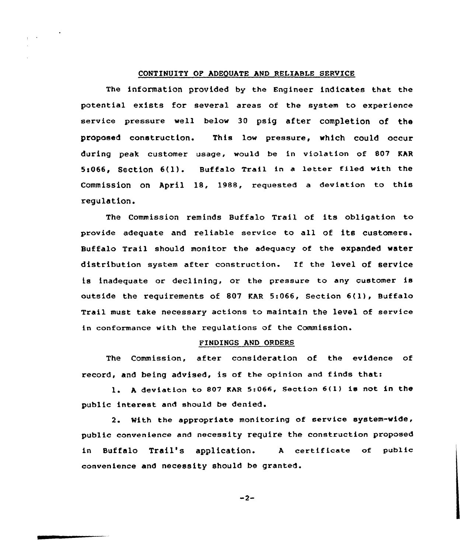# CONTINUITY OP ADEQUATE AND RELIABLE SERVICE

The information provided by the Engineer indicates that the potential exists for several areas of the system to experience service pressure well below 30 psig after completion of the proposed construction. This low pressure, which could occur during peak customer usage, would be in violation of 807 KAR 5>066, Section 6(l). Buffalo Trail in <sup>a</sup> letter filed with the Commission on April 18, 1988, requested a deviation to this regulation.

The Commission reminds Buffalo Trail of its obligation to provide adequate and reliable service to all of its customers. Buffalo Trail should monitor the adequacy of the expanded water distribution system after construction. If the level of service is inadequate or declining, or the pressure to any customer is outside the requirements of <sup>807</sup> KAR 5:066, Section 6(l), Buffalo Trail must take necessary actions to maintain the level of service in conformance with the regulations of the Commission.

## FINDINGS AND ORDERS

The Commission, after consideration of the evidence of record, and being advised, is of the opinion and finds that:

l. <sup>A</sup> deviation to <sup>807</sup> EAR 5:066, Section 6(l} is not in the public interest and should be denied.

2. With the appropriate monitoring of service system-wide, public convenience and necessity require the construction proposed in Buffalo Trail's application. <sup>A</sup> certificate of public convenience and necessity should be granted.

 $-2-$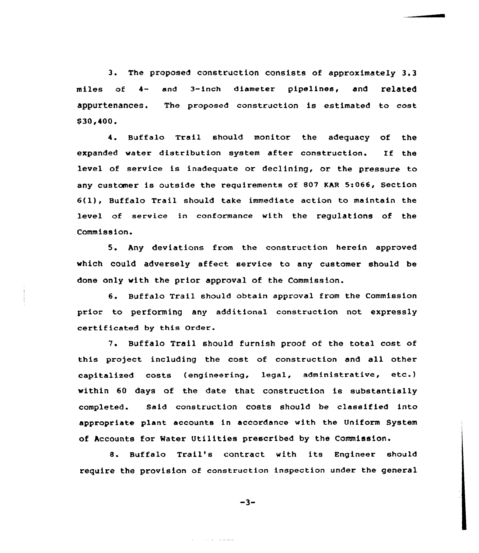3. The proposed construction consists of approximately 3.<sup>3</sup> miles of 4- and 3-inch diameter pipelines, and related appuz'tenances. The proposed construction is estimated to cost \$30,400

'. Buffalo Trail should monitor the adequacy of the expanded water distribution system after construction. If the level of service is inadequate or declining, or the pressure to any customer is outside the requirements of 807 KAR 5:066, Section 6(l), Buffalo Trail should take immediate action to maintain the level of service in conformance with the regulations of the Commission.

5. Any deviations from the construction herein approved which could adversely affect. service to any customer should be done only with the prior approval of the Commission.

6. Buffalo Trail should obtain approval from the Commission prior to performing any additional construction not expressly certificated by this Order.

7. Buffalo Trail should furnish proof of the total cost of this project including the cost of construction and all other capitalized costs (engineering, legal, administrative, etc.) within 60 days of the date that construction is substantially completed. Said construction costs should be classified into appropriate plant accounts in accordance with the Uniform System of Accounts for Mater Utilities prescribed by the Commission.

8. Buffalo Trail's contract with its Engineer should require the provision of construction inspection under the general

$$
-3-
$$

and a complete the complete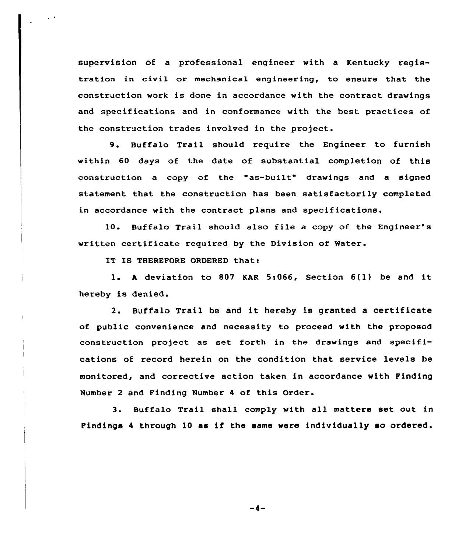supervision of a professional engineer with a Kentucky registration in civil or mechanical engineering, to ensure that the construction work is done in accordance with the contract drawings and specifications and in conformance with the best practices of the construction trades involved in the project.

9. Buffalo Trail should require the Engineer to furnish within 60 days of the date of substantial completion of this construction a copy of the "as-built" drawings and a signed statement that the construction has been satisfactorily completed in accordance with the contract plans and specifications.

10. Buffalo Trail should also file a copy of the Engineer's written certificate required by the Division of Water

IT IS THEREFORE ORDERED thati

l. <sup>h</sup> deviation to <sup>807</sup> KAR 5:066, Section 6(l) be and it hereby is denied.

2. Buffalo Trail be and it hereby is granted <sup>a</sup> certificate of public convenience and necessity to proceed with the proposed construction project as set forth in the drawings and specifications of record herein on the condition that service levels be monitored, and corrective action taken in accordance with Pinding Number <sup>2</sup> and Finding Number <sup>4</sup> of this Order.

3. Buffalo Trail shall comply with all matters set out in Findings <sup>4</sup> through 10 as if the same were individually so ordered.

 $-4-$